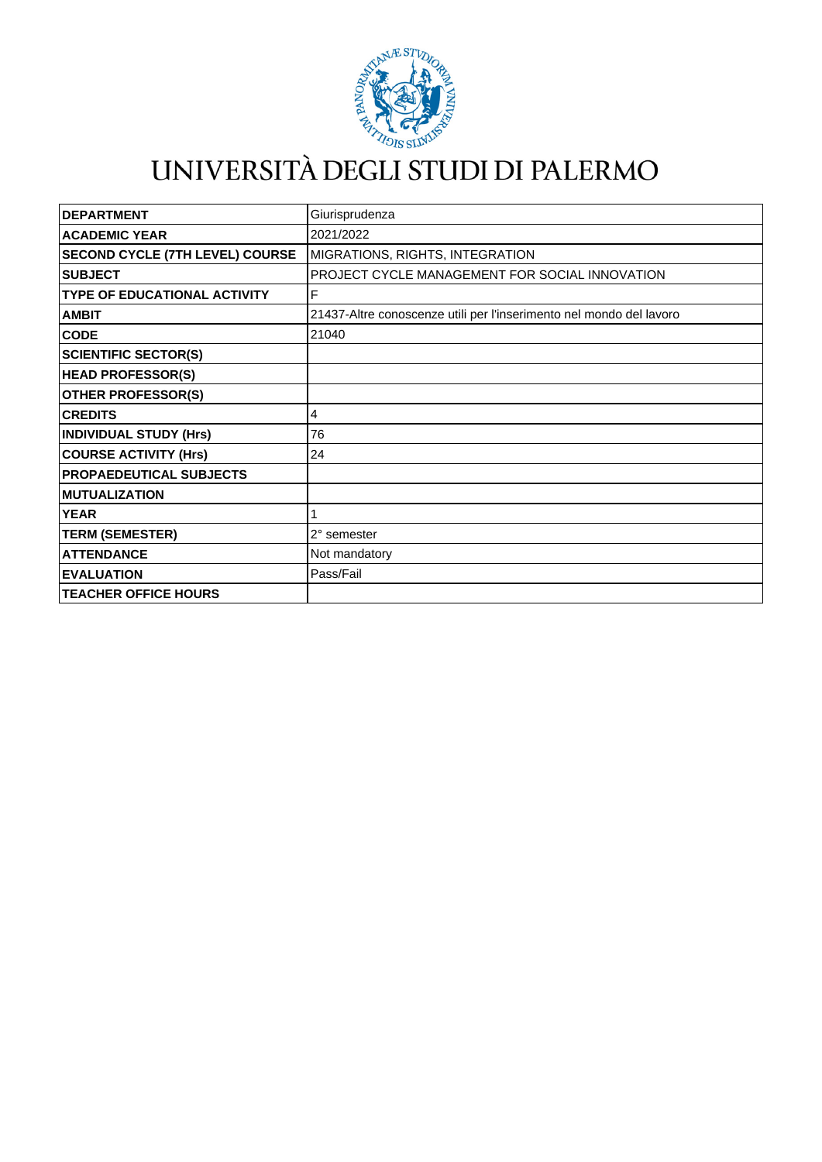

## UNIVERSITÀ DEGLI STUDI DI PALERMO

| <b>DEPARTMENT</b>                      | Giurisprudenza                                                      |
|----------------------------------------|---------------------------------------------------------------------|
| <b>ACADEMIC YEAR</b>                   | 2021/2022                                                           |
| <b>SECOND CYCLE (7TH LEVEL) COURSE</b> | MIGRATIONS, RIGHTS, INTEGRATION                                     |
| <b>SUBJECT</b>                         | PROJECT CYCLE MANAGEMENT FOR SOCIAL INNOVATION                      |
| <b>TYPE OF EDUCATIONAL ACTIVITY</b>    | F                                                                   |
| <b>AMBIT</b>                           | 21437-Altre conoscenze utili per l'inserimento nel mondo del lavoro |
| <b>CODE</b>                            | 21040                                                               |
| <b>SCIENTIFIC SECTOR(S)</b>            |                                                                     |
| <b>HEAD PROFESSOR(S)</b>               |                                                                     |
| <b>OTHER PROFESSOR(S)</b>              |                                                                     |
| <b>CREDITS</b>                         | 4                                                                   |
| <b>INDIVIDUAL STUDY (Hrs)</b>          | 76                                                                  |
| <b>COURSE ACTIVITY (Hrs)</b>           | 24                                                                  |
| <b>PROPAEDEUTICAL SUBJECTS</b>         |                                                                     |
| <b>MUTUALIZATION</b>                   |                                                                     |
| <b>YEAR</b>                            |                                                                     |
| <b>TERM (SEMESTER)</b>                 | 2° semester                                                         |
| <b>ATTENDANCE</b>                      | Not mandatory                                                       |
| <b>EVALUATION</b>                      | Pass/Fail                                                           |
| <b>TEACHER OFFICE HOURS</b>            |                                                                     |